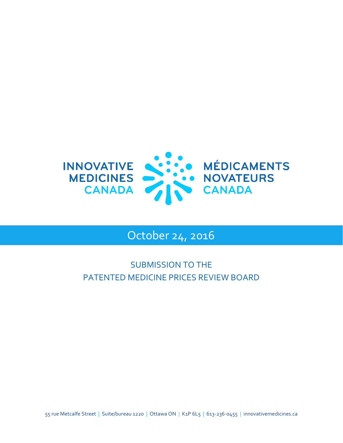

# October 24, 2016

# SUBMISSION TO THE PATENTED MEDICINE PRICES REVIEW BOARD

55 rue Metcalfe Street | Suite/bureau 1220 | Ottawa ON | K1P 6L5 | 613-236-0455 | innovativemedicines.ca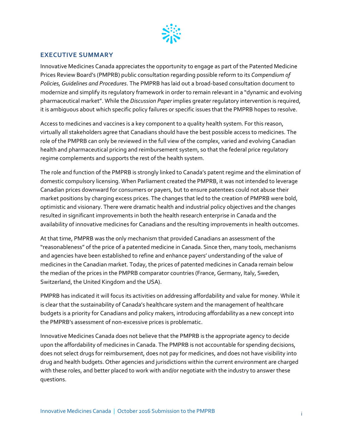

#### <span id="page-1-0"></span>**EXECUTIVE SUMMARY**

Innovative Medicines Canada appreciates the opportunity to engage as part of the Patented Medicine Prices Review Board's (PMPRB) public consultation regarding possible reform to its *Compendium of Policies, Guidelines and Procedures*. The PMPRB has laid out a broad-based consultation document to modernize and simplify its regulatory framework in order to remain relevant in a "dynamic and evolving pharmaceutical market". While the *Discussion Paper* implies greater regulatory intervention is required, it is ambiguous about which specific policy failures or specific issues that the PMPRB hopes to resolve.

Access to medicines and vaccines is a key component to a quality health system. For this reason, virtually all stakeholders agree that Canadians should have the best possible access to medicines. The role of the PMPRB can only be reviewed in the full view of the complex, varied and evolving Canadian health and pharmaceutical pricing and reimbursement system, so that the federal price regulatory regime complements and supports the rest of the health system.

The role and function of the PMPRB is strongly linked to Canada's patent regime and the elimination of domestic compulsory licensing. When Parliament created the PMPRB, it was not intended to leverage Canadian prices downward for consumers or payers, but to ensure patentees could not abuse their market positions by charging excess prices. The changes that led to the creation of PMPRB were bold, optimistic and visionary. There were dramatic health and industrial policy objectives and the changes resulted in significant improvements in both the health research enterprise in Canada and the availability of innovative medicines for Canadians and the resulting improvements in health outcomes.

At that time, PMPRB was the only mechanism that provided Canadians an assessment of the "reasonableness" of the price of a patented medicine in Canada. Since then, many tools, mechanisms and agencies have been established to refine and enhance payers' understanding of the value of medicines in the Canadian market. Today, the prices of patented medicines in Canada remain below the median of the prices in the PMPRB comparator countries (France, Germany, Italy, Sweden, Switzerland, the United Kingdom and the USA).

PMPRB has indicated it will focus its activities on addressing affordability and value for money. While it is clear that the sustainability of Canada's healthcare system and the management of healthcare budgets is a priority for Canadians and policy makers, introducing affordabilityas a new concept into the PMPRB's assessment of non-excessive prices is problematic.

Innovative Medicines Canada does not believe that the PMPRB is the appropriate agency to decide upon the affordability of medicines in Canada. The PMPRB is not accountable for spending decisions, does not select drugs for reimbursement, does not pay for medicines, and does not have visibility into drug and health budgets. Other agencies and jurisdictions within the current environment are charged with these roles, and better placed to work with and/or negotiate with the industry to answer these questions.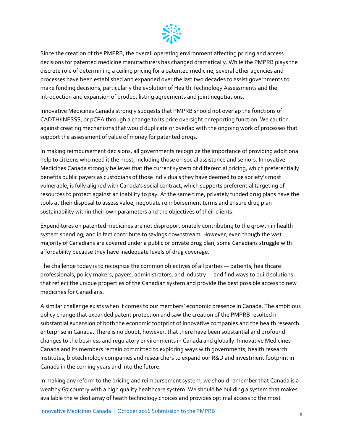

Since the creation of the PMPRB, the overall operating environment affecting pricing and access decisions for patented medicine manufacturers has changed dramatically. While the PMPRB plays the discrete role of determining a ceiling pricing for a patented medicine, several other agencies and processes have been established and expanded over the last two decades to assist governments to make funding decisions, particularly the evolution of Health Technology Assessments and the introduction and expansion of product listing agreements and joint negotiations.

Innovative Medicines Canada strongly suggests that PMPRB should not overlap the functions of CADTH/INESSS, or pCPA through a change to its price oversight or reporting function. We caution against creating mechanisms that would duplicate or overlap with the ongoing work of processes that support the assessment of value of money for patented drugs.

In making reimbursement decisions, all governments recognize the importance of providing additional help to citizens who need it the most, including those on social assistance and seniors. Innovative Medicines Canada strongly believes that the current system of differential pricing, which preferentially benefits public payers as custodians of those individuals they have deemed to be society's most vulnerable, is fully aligned with Canada's social contract, which supports preferential targeting of resources to protect against an inability to pay. At the same time, privately funded drug plans have the tools at their disposal to assess value, negotiate reimbursement terms and ensure drug plan sustainability within their own parameters and the objectives of their clients.

Expenditures on patented medicines are not disproportionately contributing to the growth in health system spending, and in fact contribute to savings downstream. However, even though the vast majority of Canadians are covered under a public or private drug plan, some Canadians struggle with affordability because they have inadequate levels of drug coverage.

The challenge today is to recognize the common objectives of all parties — patients, healthcare professionals, policy makers, payers, administrators, and industry — and find ways to build solutions that reflect the unique properties of the Canadian system and provide the best possible access to new medicines for Canadians.

A similar challenge exists when it comes to our members' economic presence in Canada. The ambitious policy change that expanded patent protection and saw the creation of the PMPRB resulted in substantial expansion of both the economic footprint of innovative companies and the health research enterprise in Canada. There is no doubt, however, that there have been substantial and profound changes to the business and regulatory environments in Canada and globally. Innovative Medicines Canada and its members remain committed to exploring ways with governments, health research institutes, biotechnology companies and researchers to expand our R&D and investment footprint in Canada in the coming years and into the future.

In making any reform to the pricing and reimbursement system, we should remember that Canada is a wealthy G7 country with a high quality healthcare system. We should be building a system that makes available the widest array of heath technology choices and provides optimal access to the most

Innovative Medicines Canada | October 2016 Submission to the PMPRB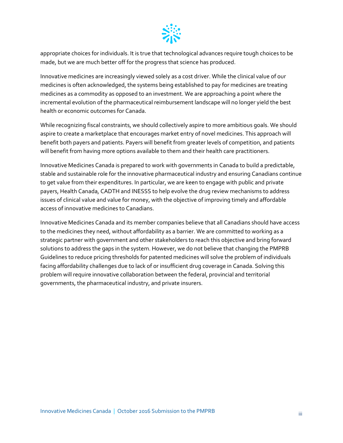

appropriate choices for individuals. It is true that technological advances require tough choices to be made, but we are much better off for the progress that science has produced.

Innovative medicines are increasingly viewed solely as a cost driver. While the clinical value of our medicines is often acknowledged, the systems being established to pay for medicines are treating medicines as a commodity as opposed to an investment. We are approaching a point where the incremental evolution of the pharmaceutical reimbursement landscape will no longer yield the best health or economic outcomes for Canada.

While recognizing fiscal constraints, we should collectively aspire to more ambitious goals. We should aspire to create a marketplace that encourages market entry of novel medicines. This approach will benefit both payers and patients. Payers will benefit from greater levels of competition, and patients will benefit from having more options available to them and their health care practitioners.

Innovative Medicines Canada is prepared to work with governments in Canada to build a predictable, stable and sustainable role for the innovative pharmaceutical industry and ensuring Canadians continue to get value from their expenditures. In particular, we are keen to engage with public and private payers, Health Canada, CADTH and INESSS to help evolve the drug review mechanisms to address issues of clinical value and value for money, with the objective of improving timely and affordable access of innovative medicines to Canadians.

Innovative Medicines Canada and its member companies believe that all Canadians should have access to the medicines they need, without affordability as a barrier. We are committed to working as a strategic partner with government and other stakeholders to reach this objective and bring forward solutions to address the gaps in the system. However, we do not believe that changing the PMPRB Guidelines to reduce pricing thresholds for patented medicines will solve the problem of individuals facing affordability challenges due to lack of or insufficient drug coverage in Canada. Solving this problem will require innovative collaboration between the federal, provincial and territorial governments, the pharmaceutical industry, and private insurers.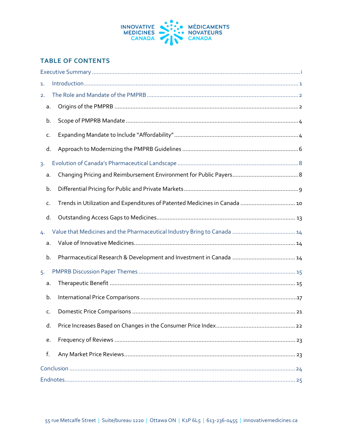

# **TABLE OF CONTENTS**

| 1.             |    |                                                                            |  |  |  |
|----------------|----|----------------------------------------------------------------------------|--|--|--|
| 2.             |    |                                                                            |  |  |  |
|                | a. |                                                                            |  |  |  |
|                | b. |                                                                            |  |  |  |
|                | c. |                                                                            |  |  |  |
|                | d. |                                                                            |  |  |  |
| 3 <sup>1</sup> |    |                                                                            |  |  |  |
|                | a. |                                                                            |  |  |  |
|                | b. |                                                                            |  |  |  |
|                | c. | Trends in Utilization and Expenditures of Patented Medicines in Canada  10 |  |  |  |
|                | d. |                                                                            |  |  |  |
| 4.             |    |                                                                            |  |  |  |
|                | a. |                                                                            |  |  |  |
|                | b. |                                                                            |  |  |  |
| 5.             |    |                                                                            |  |  |  |
|                | a. |                                                                            |  |  |  |
|                | b. |                                                                            |  |  |  |
|                | C. |                                                                            |  |  |  |
|                | d. |                                                                            |  |  |  |
|                | e. |                                                                            |  |  |  |
|                | f. |                                                                            |  |  |  |
|                |    |                                                                            |  |  |  |
|                |    |                                                                            |  |  |  |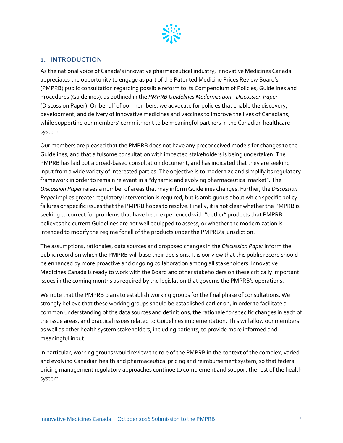

#### <span id="page-5-0"></span>**1. INTRODUCTION**

As the national voice of Canada's innovative pharmaceutical industry, Innovative Medicines Canada appreciates the opportunity to engage as part of the Patented Medicine Prices Review Board's (PMPRB) public consultation regarding possible reform to its Compendium of Policies, Guidelines and Procedures (Guidelines), as outlined in the *PMPRB Guidelines Modernization - Discussion Paper* (Discussion Paper). On behalf of our members, we advocate for policies that enable the discovery, development, and delivery of innovative medicines and vaccines to improve the lives of Canadians, while supporting our members' commitment to be meaningful partners in the Canadian healthcare system.

Our members are pleased that the PMPRB does not have any preconceived models for changes to the Guidelines, and that a fulsome consultation with impacted stakeholders is being undertaken. The PMPRB has laid out a broad-based consultation document, and has indicated that they are seeking input from a wide variety of interested parties. The objective is to modernize and simplify its regulatory framework in order to remain relevant in a "dynamic and evolving pharmaceutical market". The *Discussion Paper* raises a number of areas that may inform Guidelines changes. Further, the *Discussion Paper* implies greater regulatory intervention is required, but is ambiguous about which specific policy failures or specific issues that the PMPRB hopes to resolve. Finally, it is not clear whether the PMPRB is seeking to correct for problems that have been experienced with "outlier" products that PMPRB believes the current Guidelines are not well equipped to assess, or whether the modernization is intended to modify the regime for all of the products under the PMPRB's jurisdiction.

The assumptions, rationales, data sources and proposed changes in the *Discussion Paper* inform the public record on which the PMPRB will base their decisions. It is our view that this public record should be enhanced by more proactive and ongoing collaboration among all stakeholders. Innovative Medicines Canada is ready to work with the Board and other stakeholders on these critically important issues in the coming months as required by the legislation that governs the PMPRB's operations.

We note that the PMPRB plans to establish working groups for the final phase of consultations. We strongly believe that these working groups should be established earlier on, in order to facilitate a common understanding of the data sources and definitions, the rationale for specific changes in each of the issue areas, and practical issues related to Guidelines implementation. This will allow our members as well as other health system stakeholders, including patients, to provide more informed and meaningful input.

In particular, working groups would review the role of the PMPRB in the context of the complex, varied and evolving Canadian health and pharmaceutical pricing and reimbursement system, so that federal pricing management regulatory approaches continue to complement and support the rest of the health system.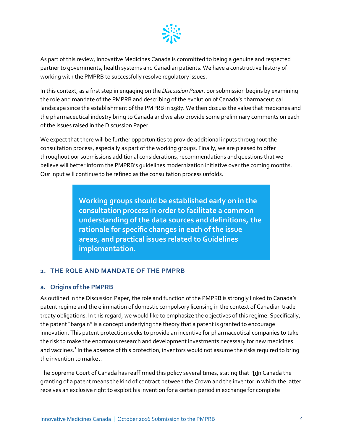

As part of this review, Innovative Medicines Canada is committed to being a genuine and respected partner to governments, health systems and Canadian patients. We have a constructive history of working with the PMPRB to successfully resolve regulatory issues.

In this context, as a first step in engaging on the *Discussion Paper*, our submission begins by examining the role and mandate of the PMPRB and describing of the evolution of Canada's pharmaceutical landscape since the establishment of the PMPRB in 1987. We then discuss the value that medicines and the pharmaceutical industry bring to Canada and we also provide some preliminary comments on each of the issues raised in the Discussion Paper.

We expect that there will be further opportunities to provide additional inputs throughout the consultation process, especially as part of the working groups. Finally, we are pleased to offer throughout our submissions additional considerations, recommendations and questions that we believe will better inform the PMPRB's guidelines modernization initiative over the coming months. Our input will continue to be refined as the consultation process unfolds.

> **Working groups should be established early on in the consultation process in order to facilitate a common understanding of the data sources and definitions, the rationale for specific changes in each of the issue areas, and practical issues related to Guidelines implementation.**

#### <span id="page-6-0"></span>**2. THE ROLE AND MANDATE OF THE PMPRB**

#### <span id="page-6-1"></span>**a. Origins of the PMPRB**

As outlined in the Discussion Paper, the role and function of the PMPRB is strongly linked to Canada's patent regime and the elimination of domestic compulsory licensing in the context of Canadian trade treaty obligations. In this regard, we would like to emphasize the objectives of this regime. Specifically, the patent "bargain" is a concept underlying the theory that a patent is granted to encourage innovation. This patent protection seeks to provide an incentive for pharmaceutical companies to take the risk to make the enormous research and development investments necessary for new medicines and vaccines.<sup>[1](#page-30-0)</sup> In the absence of this protection, inventors would not assume the risks required to bring the invention to market.

The Supreme Court of Canada has reaffirmed this policy several times, stating that "[i]n Canada the granting of a patent means the kind of contract between the Crown and the inventor in which the latter receives an exclusive right to exploit his invention for a certain period in exchange for complete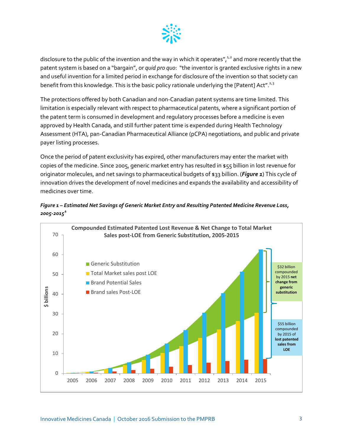

disclosure to the public of the invention and the way in which it operates",<sup>1,[2](#page-31-0)</sup> and more recently that the patent system is based on a "bargain", or *quid pro quo*: "the inventor is granted exclusive rights in a new and useful invention for a limited period in exchange for disclosure of the invention so that society can benefit from this knowledge. This is the basic policy rationale underlying the [Patent] Act".<sup>2,[3](#page-31-1)</sup>

The protections offered by both Canadian and non-Canadian patent systems are time limited. This limitation is especially relevant with respect to pharmaceutical patents, where a significant portion of the patent term is consumed in development and regulatory processes before a medicine is even approved by Health Canada, and still further patent time is expended during Health Technology Assessment (HTA), pan-Canadian Pharmaceutical Alliance (pCPA) negotiations, and public and private payer listing processes.

Once the period of patent exclusivity has expired, other manufacturers may enter the market with copies of the medicine. Since 2005, generic market entry has resulted in \$55 billion in lost revenue for originator molecules, and net savings to pharmaceutical budgets of \$33 billion. (*[Figure 1](#page-7-0)*) This cycle of innovation drives the development of novel medicines and expands the availability and accessibility of medicines over time.



<span id="page-7-0"></span>*Figure 1 – Estimated Net Savings of Generic Market Entry and Resulting Patented Medicine Revenue Loss, 2005-2015[4](#page-31-2)*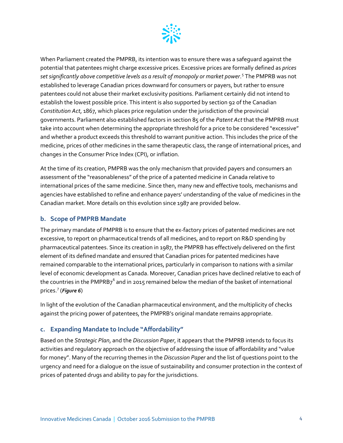

When Parliament created the PMPRB, its intention was to ensure there was a safeguard against the potential that patentees might charge excessive prices. Excessive prices are formally defined as *prices set significantly above competitive levels as a result of monopoly or market power*. [5](#page-32-0) The PMPRB was not established to leverage Canadian prices downward for consumers or payers, but rather to ensure patentees could not abuse their market exclusivity positions. Parliament certainly did not intend to establish the lowest possible price. This intent is also supported by section 92 of the Canadian *Constitution Act*, 1867, which places price regulation under the jurisdiction of the provincial governments. Parliament also established factors in section 85 of the *Patent Act* that the PMPRB must take into account when determining the appropriate threshold for a price to be considered "excessive" and whether a product exceeds this threshold to warrant punitive action. This includes the price of the medicine, prices of other medicines in the same therapeutic class, the range of international prices, and changes in the Consumer Price Index (CPI), or inflation.

At the time of its creation, PMPRB was the only mechanism that provided payers and consumers an assessment of the "reasonableness" of the price of a patented medicine in Canada relative to international prices of the same medicine. Since then, many new and effective tools, mechanisms and agencies have established to refine and enhance payers' understanding of the value of medicines in the Canadian market. More details on this evolution since 1987 are provided below.

#### <span id="page-8-0"></span>**b. Scope of PMPRB Mandate**

The primary mandate of PMPRB is to ensure that the ex-factory prices of patented medicines are not excessive, to report on pharmaceutical trends of all medicines, and to report on R&D spending by pharmaceutical patentees. Since its creation in 1987, the PMPRB has effectively delivered on the first element of its defined mandate and ensured that Canadian prices for patented medicines have remained comparable to the international prices, particularly in comparison to nations with a similar level of economic development as Canada. Moreover, Canadian prices have declined relative to each of the countries in the PMPRB7 $^6$  $^6$  and in 2015 remained below the median of the basket of international prices. [7](#page-32-2) (*[Figure 6](#page-21-1)*)

In light of the evolution of the Canadian pharmaceutical environment, and the multiplicity of checks against the pricing power of patentees, the PMPRB's original mandate remains appropriate.

#### <span id="page-8-1"></span>**c. Expanding Mandate to Include "Affordability"**

Based on the *Strategic Plan*, and the *Discussion Paper*, it appears that the PMPRB intends to focus its activities and regulatory approach on the objective of addressing the issue of affordability and "value for money". Many of the recurring themes in the *Discussion Paper* and the list of questions point to the urgency and need for a dialogue on the issue of sustainability and consumer protection in the context of prices of patented drugs and ability to pay for the jurisdictions.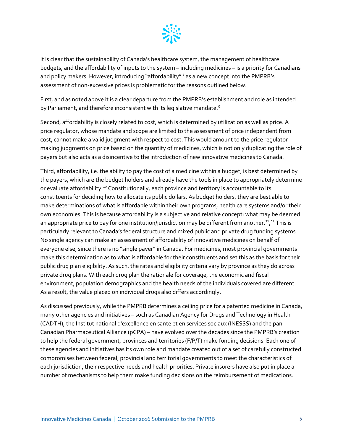

It is clear that the sustainability of Canada's healthcare system, the management of healthcare budgets, and the affordability of inputs to the system – including medicines – is a priority for Canadians and policy makers. However, introducing "affordability"<sup>[8](#page-33-0)</sup> as a new concept into the PMPRB's assessment of non-excessive prices is problematic for the reasons outlined below.

First, and as noted above it is a clear departure from the PMPRB's establishment and role as intended by Parliament, and therefore inconsistent with its legislative mandate.<sup>[9](#page-33-1)</sup>

Second, affordability is closely related to cost, which is determined by utilization as well as price. A price regulator, whose mandate and scope are limited to the assessment of price independent from cost, cannot make a valid judgment with respect to cost. This would amount to the price regulator making judgments on price based on the quantity of medicines, which is not only duplicating the role of payers but also acts as a disincentive to the introduction of new innovative medicines to Canada.

Third, affordability, i.e. the ability to pay the cost of a medicine within a budget, is best determined by the payers, which are the budget holders and already have the tools in place to appropriately determine or evaluate affordability.<sup>[10](#page-33-2)</sup> Constitutionally, each province and territory is accountable to its constituents for deciding how to allocate its public dollars. As budget holders, they are best able to make determinations of what is affordable within their own programs, health care systems and/or their own economies. This is because affordability is a subjective and relative concept: what may be deemed an appropriate price to pay for one institution/jurisdiction may be different from another.<sup>[11](#page-33-3)</sup>,<sup>[12](#page-33-4)</sup> This is particularly relevant to Canada's federal structure and mixed public and private drug funding systems. No single agency can make an assessment of affordability of innovative medicines on behalf of everyone else, since there is no "single payer" in Canada. For medicines, most provincial governments make this determination as to what is affordable for their constituents and set this as the basis for their public drug plan eligibility. As such, the rates and eligibility criteria vary by province as they do across private drug plans. With each drug plan the rationale for coverage, the economic and fiscal environment, population demographics and the health needs of the individuals covered are different. As a result, the value placed on individual drugs also differs accordingly.

As discussed previously, while the PMPRB determines a ceiling price for a patented medicine in Canada, many other agencies and initiatives – such as Canadian Agency for Drugs and Technology in Health (CADTH), the Institut national d'excellence en santé et en services sociaux (INESSS) and the pan-Canadian Pharmaceutical Alliance (pCPA) – have evolved over the decades since the PMPRB's creation to help the federal government, provinces and territories (F/P/T) make funding decisions. Each one of these agencies and initiatives has its own role and mandate created out of a set of carefully constructed compromises between federal, provincial and territorial governments to meet the characteristics of each jurisdiction, their respective needs and health priorities. Private insurers have also put in place a number of mechanisms to help them make funding decisions on the reimbursement of medications.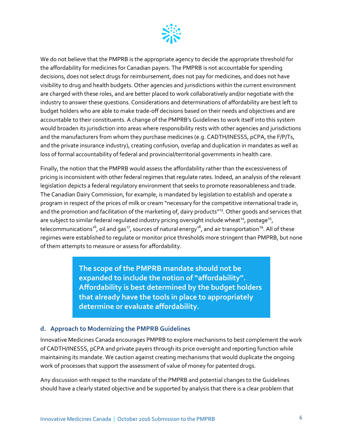

We do not believe that the PMPRB is the appropriate agency to decide the appropriate threshold for the affordability for medicines for Canadian payers. The PMPRB is not accountable for spending decisions, does not select drugs for reimbursement, does not pay for medicines, and does not have visibility to drug and health budgets. Other agencies and jurisdictions within the current environment are charged with these roles, and are better placed to work collaboratively and/or negotiate with the industry to answer these questions. Considerations and determinations of affordability are best left to budget holders who are able to make trade-off decisions based on their needs and objectives and are accountable to their constituents. A change of the PMPRB's Guidelines to work itself into this system would broaden its jurisdiction into areas where responsibility rests with other agencies and jurisdictions and the manufacturers from whom they purchase medicines (e.g. CADTH/INESSS, pCPA, the F/P/Ts, and the private insurance industry), creating confusion, overlap and duplication in mandates as well as loss of formal accountability of federal and provincial/territorial governments in health care.

Finally, the notion that the PMPRB would assess the affordability rather than the excessiveness of pricing is inconsistent with other federal regimes that regulate rates. Indeed, an analysis of the relevant legislation depicts a federal regulatory environment that seeks to promote reasonableness and trade. The Canadian Dairy Commission, for example, is mandated by legislation to establish and operate a program in respect of the prices of milk or cream "necessary for the competitive international trade in, and the promotion and facilitation of the marketing of, dairy products"<sup>[13](#page-33-5)</sup>. Other goods and services that are subject to similar federal regulated industry pricing oversight include wheat<sup>[14](#page-33-6)</sup>, postage<sup>[15](#page-33-7)</sup>, telecommunications<sup>[16](#page-33-8)</sup>, oil and gas<sup>[17](#page-33-9)</sup>, sources of natural energy<sup>18</sup>, and air transportation<sup>19</sup>. All of these regimes were established to regulate or monitor price thresholds more stringent than PMPRB, but none of them attempts to measure or assess for affordability.

> **The scope of the PMPRB mandate should not be expanded to include the notion of "affordability". Affordability is best determined by the budget holders that already have the tools in place to appropriately determine or evaluate affordability.**

#### <span id="page-10-0"></span>**d. Approach to Modernizing the PMPRB Guidelines**

Innovative Medicines Canada encourages PMPRB to explore mechanisms to best complement the work of CADTH/INESSS, pCPA and private payers through its price oversight and reporting function while maintaining its mandate. We caution against creating mechanisms that would duplicate the ongoing work of processes that support the assessment of value of money for patented drugs.

Any discussion with respect to the mandate of the PMPRB and potential changes to the Guidelines should have a clearly stated objective and be supported by analysis that there is a clear problem that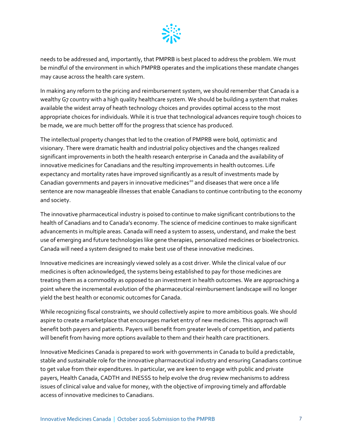

needs to be addressed and, importantly, that PMPRB is best placed to address the problem. We must be mindful of the environment in which PMPRB operates and the implications these mandate changes may cause across the health care system.

In making any reform to the pricing and reimbursement system, we should remember that Canada is a wealthy G7 country with a high quality healthcare system. We should be building a system that makes available the widest array of heath technology choices and provides optimal access to the most appropriate choices for individuals. While it is true that technological advances require tough choices to be made, we are much better off for the progress that science has produced.

The intellectual property changes that led to the creation of PMPRB were bold, optimistic and visionary. There were dramatic health and industrial policy objectives and the changes realized significant improvements in both the health research enterprise in Canada and the availability of innovative medicines for Canadians and the resulting improvements in health outcomes. Life expectancy and mortality rates have improved significantly as a result of investments made by Canadian governments and payers in innovative medicines<sup>[20](#page-33-12)</sup> and diseases that were once a life sentence are now manageable illnesses that enable Canadians to continue contributing to the economy and society.

The innovative pharmaceutical industry is poised to continue to make significant contributions to the health of Canadians and to Canada's economy. The science of medicine continues to make significant advancements in multiple areas. Canada will need a system to assess, understand, and make the best use of emerging and future technologies like gene therapies, personalized medicines or bioelectronics. Canada will need a system designed to make best use of these innovative medicines.

Innovative medicines are increasingly viewed solely as a cost driver. While the clinical value of our medicines is often acknowledged, the systems being established to pay for those medicines are treating them as a commodity as opposed to an investment in health outcomes. We are approaching a point where the incremental evolution of the pharmaceutical reimbursement landscape will no longer yield the best health or economic outcomes for Canada.

While recognizing fiscal constraints, we should collectively aspire to more ambitious goals. We should aspire to create a marketplace that encourages market entry of new medicines. This approach will benefit both payers and patients. Payers will benefit from greater levels of competition, and patients will benefit from having more options available to them and their health care practitioners.

Innovative Medicines Canada is prepared to work with governments in Canada to build a predictable, stable and sustainable role for the innovative pharmaceutical industry and ensuring Canadians continue to get value from their expenditures. In particular, we are keen to engage with public and private payers, Health Canada, CADTH and INESSS to help evolve the drug review mechanisms to address issues of clinical value and value for money, with the objective of improving timely and affordable access of innovative medicines to Canadians.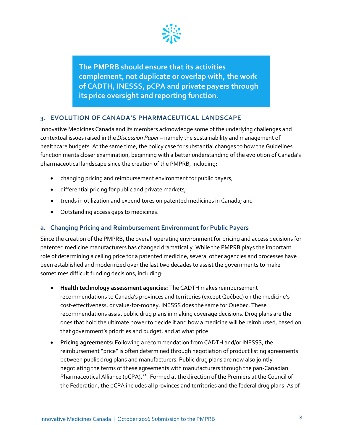

**The PMPRB should ensure that its activities complement, not duplicate or overlap with, the work of CADTH, INESSS, pCPA and private payers through its price oversight and reporting function.** 

# <span id="page-12-0"></span>**3. EVOLUTION OF CANADA'S PHARMACEUTICAL LANDSCAPE**

Innovative Medicines Canada and its members acknowledge some of the underlying challenges and contextual issues raised in the *Discussion Paper* – namely the sustainability and management of healthcare budgets. At the same time, the policy case for substantial changes to how the Guidelines function merits closer examination, beginning with a better understanding of the evolution of Canada's pharmaceutical landscape since the creation of the PMPRB, including:

- changing pricing and reimbursement environment for public payers;
- differential pricing for public and private markets;
- trends in utilization and expenditures on patented medicines in Canada; and
- Outstanding access gaps to medicines.

# <span id="page-12-1"></span>**a. Changing Pricing and Reimbursement Environment for Public Payers**

Since the creation of the PMPRB, the overall operating environment for pricing and access decisions for patented medicine manufacturers has changed dramatically. While the PMPRB plays the important role of determining a ceiling price for a patented medicine, several other agencies and processes have been established and modernized over the last two decades to assist the governments to make sometimes difficult funding decisions, including:

- **Health technology assessment agencies:** The CADTH makes reimbursement recommendations to Canada's provinces and territories (except Québec) on the medicine's cost-effectiveness, or value-for-money. INESSS does the same for Québec. These recommendations assist public drug plans in making coverage decisions. Drug plans are the ones that hold the ultimate power to decide if and how a medicine will be reimbursed, based on that government's priorities and budget, and at what price.
- **Pricing agreements:** Following a recommendation from CADTH and/or INESSS, the reimbursement "price" is often determined through negotiation of product listing agreements between public drug plans and manufacturers. Public drug plans are now also jointly negotiating the terms of these agreements with manufacturers through the pan-Canadian Pharmaceutical Alliance (pCPA).<sup>[21](#page-33-13)</sup> Formed at the direction of the Premiers at the Council of the Federation, the pCPA includes all provinces and territories and the federal drug plans. As of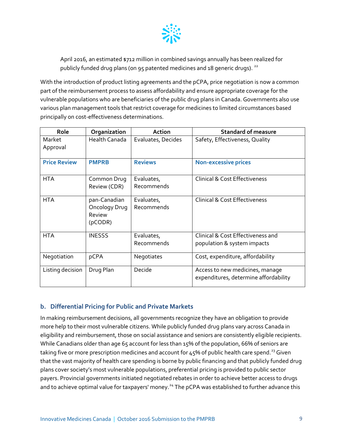

April 2016, an estimated \$712 million in combined savings annually has been realized for publicly funded drug plans (on 95 patented medicines and  $18$  generic drugs). <sup>[22](#page-33-14)</sup>

With the introduction of product listing agreements and the pCPA, price negotiation is now a common part of the reimbursement process to assess affordability and ensure appropriate coverage for the vulnerable populations who are beneficiaries of the public drug plans in Canada. Governments also use various plan management tools that restrict coverage for medicines to limited circumstances based principally on cost-effectiveness determinations.

| Role                | Organization                                       | <b>Action</b>            | <b>Standard of measure</b>                                               |
|---------------------|----------------------------------------------------|--------------------------|--------------------------------------------------------------------------|
| Market<br>Approval  | Health Canada                                      | Evaluates, Decides       | Safety, Effectiveness, Quality                                           |
| <b>Price Review</b> | <b>PMPRB</b>                                       | <b>Reviews</b>           | <b>Non-excessive prices</b>                                              |
| <b>HTA</b>          | Common Drug<br>Review (CDR)                        | Evaluates,<br>Recommends | <b>Clinical &amp; Cost Effectiveness</b>                                 |
| <b>HTA</b>          | pan-Canadian<br>Oncology Drug<br>Review<br>(pCODR) | Evaluates,<br>Recommends | <b>Clinical &amp; Cost Effectiveness</b>                                 |
| <b>HTA</b>          | <b>INESSS</b>                                      | Evaluates,<br>Recommends | Clinical & Cost Effectiveness and<br>population & system impacts         |
| Negotiation         | pCPA                                               | Negotiates               | Cost, expenditure, affordability                                         |
| Listing decision    | Drug Plan                                          | Decide                   | Access to new medicines, manage<br>expenditures, determine affordability |

# <span id="page-13-0"></span>**b. Differential Pricing for Public and Private Markets**

In making reimbursement decisions, all governments recognize they have an obligation to provide more help to their most vulnerable citizens. While publicly funded drug plans vary across Canada in eligibility and reimbursement, those on social assistance and seniors are consistently eligible recipients. While Canadians older than age 65 account for less than 15% of the population, 66% of seniors are taking five or more prescription medicines and account for  $45%$  of public health care spend.<sup>[23](#page-33-15)</sup> Given that the vast majority of health care spending is borne by public financing and that publicly funded drug plans cover society's most vulnerable populations, preferential pricing is provided to public sector payers. Provincial governments initiated negotiated rebates in order to achieve better access to drugs and to achieve optimal value for taxpayers' money.<sup>[24](#page-33-16)</sup> The pCPA was established to further advance this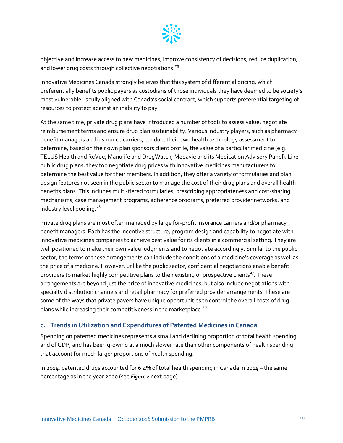

objective and increase access to new medicines, improve consistency of decisions, reduce duplication, and lower drug costs through collective negotiations.<sup>[25](#page-33-17)</sup>

Innovative Medicines Canada strongly believes that this system of differential pricing, which preferentially benefits public payers as custodians of those individuals they have deemed to be society's most vulnerable, is fully aligned with Canada's social contract, which supports preferential targeting of resources to protect against an inability to pay.

At the same time, private drug plans have introduced a number of tools to assess value, negotiate reimbursement terms and ensure drug plan sustainability. Various industry players, such as pharmacy benefit managers and insurance carriers, conduct their own health technology assessment to determine, based on their own plan sponsors client profile, the value of a particular medicine (e.g. TELUS Health and ReVue, Manulife and DrugWatch, Medavie and its Medication Advisory Panel). Like public drug plans, they too negotiate drug prices with innovative medicines manufacturers to determine the best value for their members. In addition, they offer a variety of formularies and plan design features not seen in the public sector to manage the cost of their drug plans and overall health benefits plans. This includes multi-tiered formularies, prescribing appropriateness and cost-sharing mechanisms, case management programs, adherence programs, preferred provider networks, and industry level pooling.<sup>[26](#page-33-18)</sup>

Private drug plans are most often managed by large for-profit insurance carriers and/or pharmacy benefit managers. Each has the incentive structure, program design and capability to negotiate with innovative medicines companies to achieve best value for its clients in a commercial setting. They are well positioned to make their own value judgments and to negotiate accordingly. Similar to the public sector, the terms of these arrangements can include the conditions of a medicine's coverage as well as the price of a medicine. However, unlike the public sector, confidential negotiations enable benefit providers to market highly competitive plans to their existing or prospective clients<sup>[27](#page-33-19)</sup>. These arrangements are beyond just the price of innovative medicines, but also include negotiations with specialty distribution channels and retail pharmacy for preferred provider arrangements. These are some of the ways that private payers have unique opportunities to control the overall costs of drug plans while increasing their competitiveness in the marketplace.<sup>[28](#page-33-3)</sup>

# <span id="page-14-0"></span>**c. Trends in Utilization and Expenditures of Patented Medicines in Canada**

Spending on patented medicines represents a small and declining proportion of total health spending and of GDP, and has been growing at a much slower rate than other components of health spending that account for much larger proportions of health spending.

In 2014, patented drugs accounted for 6.4% of total health spending in Canada in 2014 – the same percentage as in the year 2000 (see *[Figure 2](#page-15-0)* next page).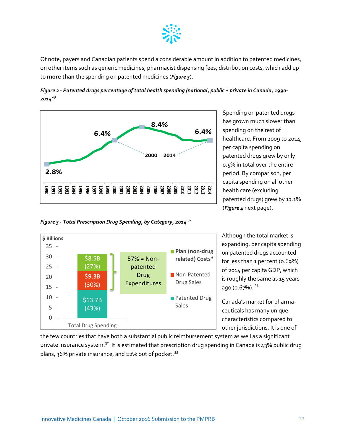

Of note, payers and Canadian patients spend a considerable amount in addition to patented medicines, on other items such as generic medicines, pharmacist dispensing fees, distribution costs, which add up to **more than** the spending on patented medicines (*[Figure 3](#page-15-1)*).

<span id="page-15-0"></span>



Spending on patented drugs has grown much slower than spending on the rest of healthcare. From 2009 to 2014, per capita spending on patented drugs grew by only 0.5% in total over the entire period. By comparison, per capita spending on all other health care (excluding patented drugs) grew by 13.1% (*[Figure 4](#page-15-2)* next page).

<span id="page-15-1"></span>



Although the total market is expanding, per capita spending on patented drugs accounted for less than 1 percent (0.69%) of 2014 per capita GDP, which is roughly the same as 15 years ago (o.67%).  $31$ 

Canada's market for pharmaceuticals has many unique characteristics compared to other jurisdictions. It is one of

<span id="page-15-2"></span>the few countries that have both a substantial public reimbursement system as well as a significant private insurance system.<sup>[32](#page-33-22)</sup> It is estimated that prescription drug spending in Canada is 43% public drug plans, 36% private insurance, and 22% out of pocket.<sup>[33](#page-33-23)</sup>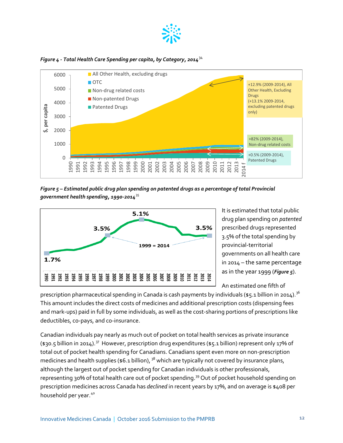

*Figure 4 - Total Health Care Spending per capita, by Category, 2014*[34](#page-33-24)



<span id="page-16-0"></span>*Figure 5 – Estimated public drug plan spending on patented drugs as a percentage of total Provincial government health spending, 1990-2014*[35](#page-33-25)



It is estimated that total public drug plan spending on *patented*  prescribed drugs represented 3.5% of the total spending by provincial-territorial governments on all health care in 2014 – the same percentage as in the year 1999 (*[Figure 5](#page-16-0)*).

An estimated one fifth of

prescription pharmaceutical spending in Canada is cash payments by individuals (\$5.1 billion in 2014).<sup>36</sup> This amount includes the direct costs of medicines and additional prescription costs (dispensing fees and mark-ups) paid in full by some individuals, as well as the cost-sharing portions of prescriptions like deductibles, co-pays, and co-insurance.

Canadian individuals pay nearly as much out of pocket on total health services as private insurance (\$30.5 billion in 2014).<sup>[37](#page-33-27)</sup> However, prescription drug expenditures (\$5.1 billion) represent only 17% of total out of pocket health spending for Canadians. Canadians spent even more on non-prescription medicines and health supplies ( $$6.1$  billion),  $38$  which are typically not covered by insurance plans, although the largest out of pocket spending for Canadian individuals is other professionals, representing 30% of total health care out of pocket spending.<sup>[39](#page-33-29)</sup> Out of pocket household spending on prescription medicines across Canada has *declined* in recent years by 17%, and on average is \$408 per household per year.<sup>[40](#page-33-30)</sup>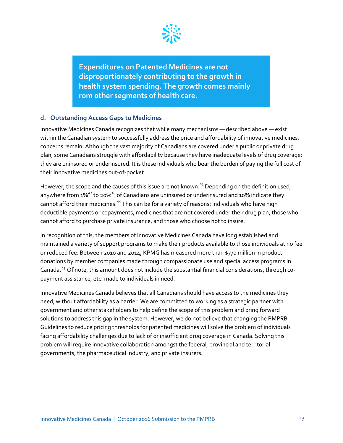

**Expenditures on Patented Medicines are not disproportionately contributing to the growth in health system spending. The growth comes mainly rom other segments of health care.**

#### <span id="page-17-0"></span>**d. Outstanding Access Gaps to Medicines**

Innovative Medicines Canada recognizes that while many mechanisms — described above — exist within the Canadian system to successfully address the price and affordability of innovative medicines, concerns remain. Although the vast majority of Canadians are covered under a public or private drug plan, some Canadians struggle with affordability because they have inadequate levels of drug coverage: they are uninsured or underinsured. It is these individuals who bear the burden of paying the full cost of their innovative medicines out-of-pocket.

However, the scope and the causes of this issue are not known.  $^{41}$  $^{41}$  $^{41}$  Depending on the definition used, anywhere from  $1\%^{42}$  $1\%^{42}$  $1\%^{42}$  to 20%<sup>[43](#page-33-32)</sup> of Canadians are uninsured or underinsured and 10% indicate they cannot afford their medicines.<sup>[44](#page-33-33)</sup> This can be for a variety of reasons: individuals who have high deductible payments or copayments, medicines that are not covered under their drug plan, those who cannot afford to purchase private insurance, and those who choose not to insure.

In recognition of this, the members of Innovative Medicines Canada have long established and maintained a variety of support programs to make their products available to those individuals at no fee or reduced fee. Between 2010 and 2014, KPMG has measured more than \$770 million in product donations by member companies made through compassionate use and special access programs in Canada.[45](#page-33-34) Of note, this amount does not include the substantial financial considerations, through copayment assistance, etc. made to individuals in need.

Innovative Medicines Canada believes that all Canadians should have access to the medicines they need, without affordability as a barrier. We are committed to working as a strategic partner with government and other stakeholders to help define the scope of this problem and bring forward solutions to address this gap in the system. However, we do not believe that changing the PMPRB Guidelines to reduce pricing thresholds for patented medicines will solve the problem of individuals facing affordability challenges due to lack of or insufficient drug coverage in Canada. Solving this problem will require innovative collaboration amongst the federal, provincial and territorial governments, the pharmaceutical industry, and private insurers.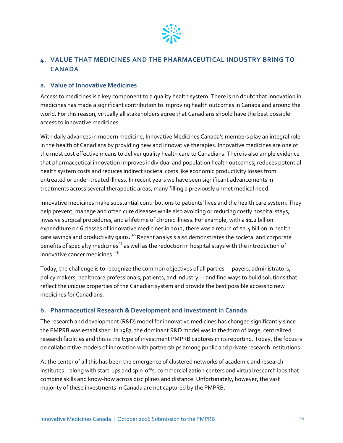

# <span id="page-18-0"></span>**4. VALUE THAT MEDICINES AND THE PHARMACEUTICAL INDUSTRY BRING TO CANADA**

#### <span id="page-18-1"></span>**a. Value of Innovative Medicines**

Access to medicines is a key component to a quality health system. There is no doubt that innovation in medicines has made a significant contribution to improving health outcomes in Canada and around the world. For this reason, virtually all stakeholders agree that Canadians should have the best possible access to innovative medicines.

With daily advances in modern medicine, Innovative Medicines Canada's members play an integral role in the health of Canadians by providing new and innovative therapies. Innovative medicines are one of the most cost effective means to deliver quality health care to Canadians. There is also ample evidence that pharmaceutical innovation improves individual and population health outcomes, reduces potential health system costs and reduces indirect societal costs like economic productivity losses from untreated or under-treated illness. In recent years we have seen significant advancements in treatments across several therapeutic areas, many filling a previously unmet medical need.

Innovative medicines make substantial contributions to patients' lives and the health care system. They help prevent, manage and often cure diseases while also avoiding or reducing costly hospital stays, invasive surgical procedures, and a lifetime of chronic illness. For example, with a \$1.2 billion expenditure on 6 classes of innovative medicines in 2012, there was a return of \$2.4 billion in health care savings and productivity gains. <sup>[46](#page-33-35)</sup> Recent analysis also demonstrates the societal and corporate benefits of specialty medicines<sup>[47](#page-33-36)</sup> as well as the reduction in hospital stays with the introduction of innovative cancer medicines. [48](#page-33-8)

Today, the challenge is to recognize the common objectives of all parties — payers, administrators, policy makers, healthcare professionals, patients, and industry — and find ways to build solutions that reflect the unique properties of the Canadian system and provide the best possible access to new medicines for Canadians.

# <span id="page-18-2"></span>**b. Pharmaceutical Research & Development and Investment in Canada**

The research and development (R&D) model for innovative medicines has changed significantly since the PMPRB was established. In 1987, the dominant R&D model was in the form of large, centralized research facilities and this is the type of investment PMPRB captures in its reporting. Today, the focus is on collaborative models of innovation with partnerships among public and private research institutions.

At the center of all this has been the emergence of clustered networks of academic and research institutes – along with start-ups and spin-offs, commercialization centers and virtual research labs that combine skills and know-how across disciplines and distance. Unfortunately, however, the vast majority of these investments in Canada are not captured by the PMPRB.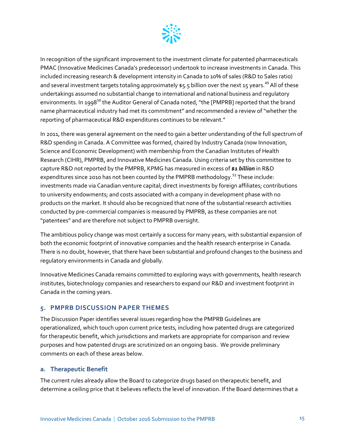

In recognition of the significant improvement to the investment climate for patented pharmaceuticals PMAC (Innovative Medicines Canada's predecessor) undertook to increase investments in Canada. This included increasing research & development intensity in Canada to 10% of sales (R&D to Sales ratio) and several investment targets totaling approximately \$5.5 billion over the next 15 years.<sup>[49](#page-33-37)</sup> All of these undertakings assumed no substantial change to international and national business and regulatory environments. In 1998<sup>[50](#page-33-38)</sup> the Auditor General of Canada noted, "the [PMPRB] reported that the brand name pharmaceutical industry had met its commitment" and recommended a review of "whether the reporting of pharmaceutical R&D expenditures continues to be relevant."

In 2011, there was general agreement on the need to gain a better understanding of the full spectrum of R&D spending in Canada. A Committee was formed, chaired by Industry Canada (now Innovation, Science and Economic Development) with membership from the Canadian Institutes of Health Research (CIHR), PMPRB, and Innovative Medicines Canada. Using criteria set by this committee to capture R&D not reported by the PMPRB, KPMG has measured in excess of *\$1 billion* in R&D expenditures since 2010 has not been counted by the PMPRB methodology.<sup>[51](#page-33-39)</sup> These include: investments made via Canadian venture capital; direct investments by foreign affiliates; contributions to university endowments; and costs associated with a company in development phase with no products on the market. It should also be recognized that none of the substantial research activities conducted by pre-commercial companies is measured by PMPRB, as these companies are not "patentees" and are therefore not subject to PMPRB oversight.

The ambitious policy change was most certainly a success for many years, with substantial expansion of both the economic footprint of innovative companies and the health research enterprise in Canada. There is no doubt, however, that there have been substantial and profound changes to the business and regulatory environments in Canada and globally.

Innovative Medicines Canada remains committed to exploring ways with governments, health research institutes, biotechnology companies and researchers to expand our R&D and investment footprint in Canada in the coming years.

# <span id="page-19-0"></span>**5. PMPRB DISCUSSION PAPER THEMES**

The Discussion Paper identifies several issues regarding how the PMPRB Guidelines are operationalized, which touch upon current price tests, including how patented drugs are categorized for therapeutic benefit, which jurisdictions and markets are appropriate for comparison and review purposes and how patented drugs are scrutinized on an ongoing basis. We provide preliminary comments on each of these areas below.

#### <span id="page-19-1"></span>**a. Therapeutic Benefit**

The current rules already allow the Board to categorize drugs based on therapeutic benefit, and determine a ceiling price that it believes reflects the level of innovation. If the Board determines that a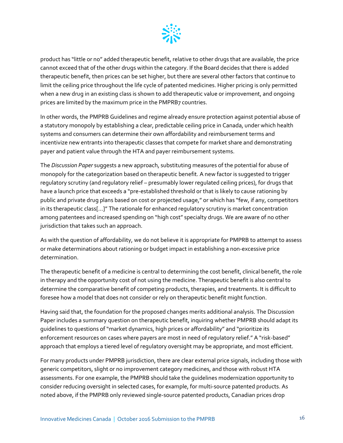

product has "little or no" added therapeutic benefit, relative to other drugs that are available, the price cannot exceed that of the other drugs within the category. If the Board decides that there is added therapeutic benefit, then prices can be set higher, but there are several other factors that continue to limit the ceiling price throughout the life cycle of patented medicines. Higher pricing is only permitted when a new drug in an existing class is shown to add therapeutic value or improvement, and ongoing prices are limited by the maximum price in the PMPRB7 countries.

In other words, the PMPRB Guidelines and regime already ensure protection against potential abuse of a statutory monopoly by establishing a clear, predictable ceiling price in Canada, under which health systems and consumers can determine their own affordability and reimbursement terms and incentivize new entrants into therapeutic classes that compete for market share and demonstrating payer and patient value through the HTA and payer reimbursement systems.

The *Discussion Paper* suggests a new approach, substituting measures of the potential for abuse of monopoly for the categorization based on therapeutic benefit. A new factor is suggested to trigger regulatory scrutiny (and regulatory relief – presumably lower regulated ceiling prices), for drugs that have a launch price that exceeds a "pre-established threshold or that is likely to cause rationing by public and private drug plans based on cost or projected usage," or which has "few, if any, competitors in its therapeutic class[…]" The rationale for enhanced regulatory scrutiny is market concentration among patentees and increased spending on "high cost" specialty drugs. We are aware of no other jurisdiction that takes such an approach.

As with the question of affordability, we do not believe it is appropriate for PMPRB to attempt to assess or make determinations about rationing or budget impact in establishing a non-excessive price determination.

The therapeutic benefit of a medicine is central to determining the cost benefit, clinical benefit, the role in therapy and the opportunity cost of not using the medicine. Therapeutic benefit is also central to determine the comparative benefit of competing products, therapies, and treatments. It is difficult to foresee how a model that does not consider or rely on therapeutic benefit might function.

Having said that, the foundation for the proposed changes merits additional analysis. The Discussion Paper includes a summary question on therapeutic benefit, inquiring whether PMPRB should adapt its guidelines to questions of "market dynamics, high prices or affordability" and "prioritize its enforcement resources on cases where payers are most in need of regulatory relief." A "risk-based" approach that employs a tiered level of regulatory oversight may be appropriate, and most efficient.

For many products under PMPRB jurisdiction, there are clear external price signals, including those with generic competitors, slight or no improvement category medicines, and those with robust HTA assessments. For one example, the PMPRB should take the guidelines modernization opportunity to consider reducing oversight in selected cases, for example, for multi-source patented products. As noted above, if the PMPRB only reviewed single-source patented products, Canadian prices drop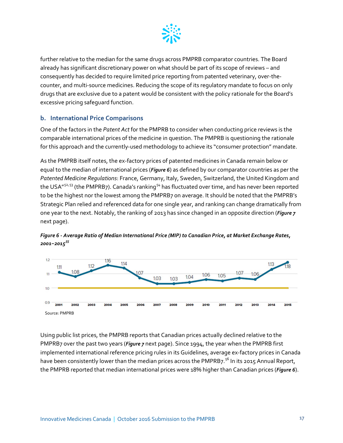

further relative to the median for the same drugs across PMPRB comparator countries. The Board already has significant discretionary power on what should be part of its scope of reviews – and consequently has decided to require limited price reporting from patented veterinary, over-thecounter, and multi-source medicines. Reducing the scope of its regulatory mandate to focus on only drugs that are exclusive due to a patent would be consistent with the policy rationale for the Board's excessive pricing safeguard function.

#### <span id="page-21-0"></span>**b. International Price Comparisons**

One of the factors in the *Patent Act* for the PMPRB to consider when conducting price reviews is the comparable international prices of the medicine in question. The PMPRB is questioning the rationale for this approach and the currently-used methodology to achieve its "consumer protection" mandate.

As the PMPRB itself notes, the ex-factory prices of patented medicines in Canada remain below or equal to the median of international prices (*[Figure 6](#page-21-1)*) as defined by our comparator countries as per the *Patented Medicine Regulations*: France, Germany, Italy, Sweden, Switzerland, the United Kingdom and the USA"<sup>[52,](#page-33-40)[53](#page-33-41)</sup> (the PMPRB7). Canada's ranking<sup>[54](#page-33-14)</sup> has fluctuated over time, and has never been reported to be the highest nor the lowest among the PMPRB7 on average. It should be noted that the PMPRB's Strategic Plan relied and referenced data for one single year, and ranking can change dramatically from one year to the next. Notably, the ranking of 2013 has since changed in an opposite direction (*[Figure 7](#page-22-0)* next page).



<span id="page-21-1"></span>*Figure 6 - Average Ratio of Median International Price (MIP) to Canadian Price, at Market Exchange Rates, 2001−2015[55](#page-33-42)*

Using public list prices, the PMPRB reports that Canadian prices actually declined relative to the PMPRB7 over the past two years (*[Figure 7](#page-22-0)* next page). Since 1994, the year when the PMPRB first implemented international reference pricing rules in its Guidelines, average ex-factory prices in Canada have been consistently lower than the median prices across the PMPRB7.<sup>[56](#page-33-43)</sup> In its 2015 Annual Report, the PMPRB reported that median international prices were 18% higher than Canadian prices (*[Figure 6](#page-21-1)*).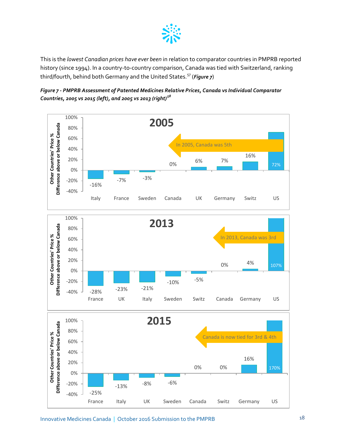

<span id="page-22-0"></span>This is the *lowest Canadian prices have ever been* in relation to comparator countries in PMPRB reported history (since 1994). In a country-to-country comparison, Canada was tied with Switzerland, ranking third/fourth, behind both Germany and the United States.<sup>[57](#page-33-44)</sup> (*[Figure 7](#page-22-0)*)



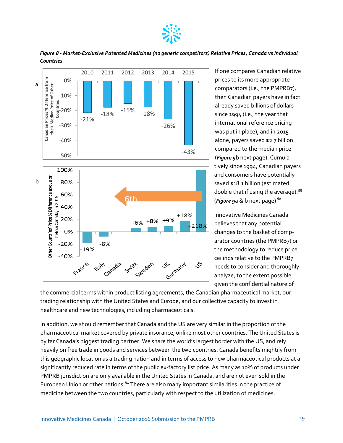

*Figure 8 - Market-Exclusive Patented Medicines (no generic competitors) Relative Prices, Canada vs Individual Countries*



If one compares Canadian relative prices to its more appropriate comparators (i.e., the PMPRB7), then Canadian payers have in fact already saved billions of dollars since 1994 (i.e., the year that international reference pricing was put in place), and in 2015 alone, payers saved \$2.7 billion compared to the median price (*[Figure 9](#page-24-0)*b next page). Cumulatively since 1994, Canadian payers and consumers have potentially saved \$18.1 billion (estimated double that if using the average).  $59$ (*[Figure 9](#page-24-0)*a & b next page) [60](#page-33-46)

Innovative Medicines Canada believes that any potential changes to the basket of comparator countries (the PMPRB7) or the methodology to reduce price ceilings relative to the PMPRB7 needs to consider and thoroughly analyze, to the extent possible given the confidential nature of

the commercial terms within product listing agreements, the Canadian pharmaceutical market, our trading relationship with the United States and Europe, and our collective capacity to invest in healthcare and new technologies, including pharmaceuticals.

In addition, we should remember that Canada and the US are very similar in the proportion of the pharmaceutical market covered by private insurance, unlike most other countries. The United States is by far Canada's biggest trading partner. We share the world's largest border with the US, and rely heavily on free trade in goods and services between the two countries. Canada benefits mightily from this geographic location as a trading nation and in terms of access to new pharmaceutical products at a significantly reduced rate in terms of the public ex-factory list price. As many as 10% of products under PMPRB jurisdiction are only available in the United States in Canada, and are not even sold in the European Union or other nations. <sup>[61](#page-33-47)</sup> There are also many important similarities in the practice of medicine between the two countries, particularly with respect to the utilization of medicines.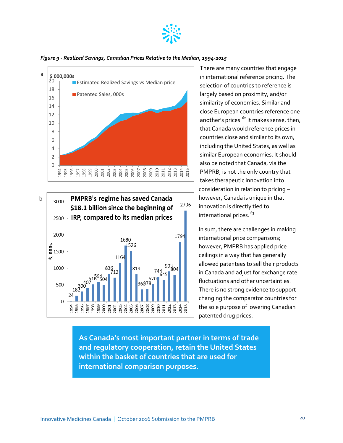

*Figure 9 - Realized Savings, Canadian Prices Relative to the Median, 1994-2015*

<span id="page-24-0"></span>



There are many countries that engage in international reference pricing. The selection of countries to reference is largely based on proximity, and/or similarity of economies. Similar and close European countries reference one another's prices.<sup>[62](#page-33-48)</sup> It makes sense, then, that Canada would reference prices in countries close and similar to its own, including the United States, as well as similar European economies. It should also be noted that Canada, via the PMPRB, is not the only country that takes therapeutic innovation into consideration in relation to pricing – however, Canada is unique in that innovation is directly tied to international prices. [63](#page-33-49)

In sum, there are challenges in making international price comparisons; however, PMPRB has applied price ceilings in a way that has generally allowed patentees to sell their products in Canada and adjust for exchange rate fluctuations and other uncertainties. There is no strong evidence to support changing the comparator countries for the sole purpose of lowering Canadian patented drug prices.

**As Canada's most important partner in terms of trade and regulatory cooperation, retain the United States within the basket of countries that are used for international comparison purposes.**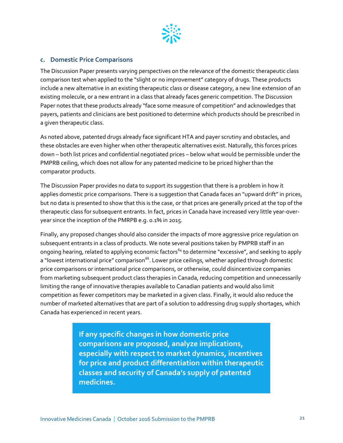

#### <span id="page-25-0"></span>**c. Domestic Price Comparisons**

The Discussion Paper presents varying perspectives on the relevance of the domestic therapeutic class comparison test when applied to the "slight or no improvement" category of drugs. These products include a new alternative in an existing therapeutic class or disease category, a new line extension of an existing molecule, or a new entrant in a class that already faces generic competition. The Discussion Paper notes that these products already "face some measure of competition" and acknowledges that payers, patients and clinicians are best positioned to determine which products should be prescribed in a given therapeutic class.

As noted above, patented drugs already face significant HTA and payer scrutiny and obstacles, and these obstacles are even higher when other therapeutic alternatives exist. Naturally, this forces prices down – both list prices and confidential negotiated prices – below what would be permissible under the PMPRB ceiling, which does not allow for any patented medicine to be priced higher than the comparator products.

The Discussion Paper provides no data to support its suggestion that there is a problem in how it applies domestic price comparisons. There is a suggestion that Canada faces an "upward drift" in prices, but no data is presented to show that this is the case, or that prices are generally priced at the top of the therapeutic class for subsequent entrants. In fact, prices in Canada have increased very little year-overyear since the inception of the PMRPB e.g. 0.1% in 2015.

Finally, any proposed changes should also consider the impacts of more aggressive price regulation on subsequent entrants in a class of products. We note several positions taken by PMPRB staff in an ongoing hearing, related to applying economic factors<sup>[64](#page-33-6)</sup> to determine "excessive", and seeking to apply a "lowest international price" comparison<sup>65</sup>. Lower price ceilings, whether applied through domestic price comparisons or international price comparisons, or otherwise, could disincentivize companies from marketing subsequent product class therapies in Canada, reducing competition and unnecessarily limiting the range of innovative therapies available to Canadian patients and would also limit competition as fewer competitors may be marketed in a given class. Finally, it would also reduce the number of marketed alternatives that are part of a solution to addressing drug supply shortages, which Canada has experienced in recent years.

> **If any specific changes in how domestic price comparisons are proposed, analyze implications, especially with respect to market dynamics, incentives for price and product differentiation within therapeutic classes and security of Canada's supply of patented medicines.**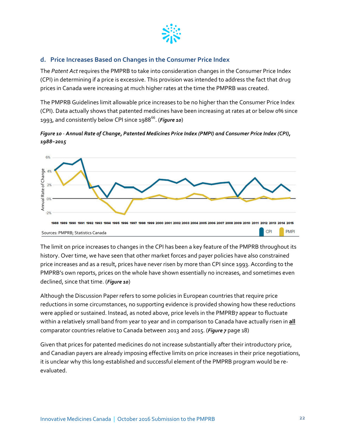

# <span id="page-26-0"></span>**d. Price Increases Based on Changes in the Consumer Price Index**

The *Patent Act* requires the PMPRB to take into consideration changes in the Consumer Price Index (CPI) in determining if a price is excessive. This provision was intended to address the fact that drug prices in Canada were increasing at much higher rates at the time the PMPRB was created.

The PMPRB Guidelines limit allowable price increases to be no higher than the Consumer Price Index (CPI). Data actually shows that patented medicines have been increasing at rates at or below 0% since 1993, and consistently below CPI since 1988<sup>[66](#page-33-50)</sup>. (*[Figure 10](#page-26-1)*)

<span id="page-26-1"></span>*Figure 10* - *Annual Rate of Change, Patented Medicines Price Index (PMPI) and Consumer Price Index (CPI), 1988−2015*



The limit on price increases to changes in the CPI has been a key feature of the PMPRB throughout its history. Over time, we have seen that other market forces and payer policies have also constrained price increases and as a result, prices have never risen by more than CPI since 1993. According to the PMPRB's own reports, prices on the whole have shown essentially no increases, and sometimes even declined, since that time. (*[Figure 10](#page-26-1)*)

Although the Discussion Paper refers to some policies in European countries that require price reductions in some circumstances, no supporting evidence is provided showing how these reductions were applied or sustained. Instead, as noted above, price levels in the PMPRB7 appear to fluctuate within a relatively small band from year to year and in comparison to Canada have actually risen in **all**  comparator countries relative to Canada between 2013 and 2015. (*[Figure 7](#page-22-0)* page 18)

Given that prices for patented medicines do not increase substantially after their introductory price, and Canadian payers are already imposing effective limits on price increases in their price negotiations, it is unclear why this long-established and successful element of the PMPRB program would be reevaluated.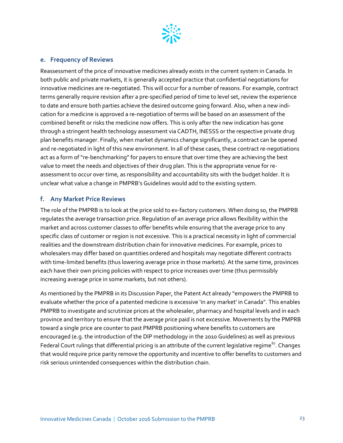

#### <span id="page-27-0"></span>**e. Frequency of Reviews**

Reassessment of the price of innovative medicines already exists in the current system in Canada. In both public and private markets, it is generally accepted practice that confidential negotiations for innovative medicines are re-negotiated. This will occur for a number of reasons. For example, contract terms generally require revision after a pre-specified period of time to level set, review the experience to date and ensure both parties achieve the desired outcome going forward. Also, when a new indication for a medicine is approved a re-negotiation of terms will be based on an assessment of the combined benefit or risks the medicine now offers. This is only after the new indication has gone through a stringent health technology assessment via CADTH, INESSS or the respective private drug plan benefits manager. Finally, when market dynamics change significantly, a contract can be opened and re-negotiated in light of this new environment. In all of these cases, these contract re-negotiations act as a form of "re-benchmarking" for payers to ensure that over time they are achieving the best value to meet the needs and objectives of their drug plan. This is the appropriate venue for reassessment to occur over time, as responsibility and accountability sits with the budget holder. It is unclear what value a change in PMPRB's Guidelines would add to the existing system.

#### <span id="page-27-1"></span>**f. Any Market Price Reviews**

The role of the PMPRB is to look at the price sold to ex-factory customers. When doing so, the PMPRB regulates the average transaction price. Regulation of an average price allows flexibility within the market and across customer classes to offer benefits while ensuring that the average price to any specific class of customer or region is not excessive. This is a practical necessity in light of commercial realities and the downstream distribution chain for innovative medicines. For example, prices to wholesalers may differ based on quantities ordered and hospitals may negotiate different contracts with time-limited benefits (thus lowering average price in those markets). At the same time, provinces each have their own pricing policies with respect to price increases over time (thus permissibly increasing average price in some markets, but not others).

As mentioned by the PMPRB in its Discussion Paper, the Patent Act already "empowers the PMPRB to evaluate whether the price of a patented medicine is excessive 'in any market' in Canada". This enables PMPRB to investigate and scrutinize prices at the wholesaler, pharmacy and hospital levels and in each province and territory to ensure that the average price paid is not excessive. Movements by the PMPRB toward a single price are counter to past PMPRB positioning where benefits to customers are encouraged (e.g. the introduction of the DIP methodology in the 2010 Guidelines) as well as previous Federal Court rulings that differential pricing is an attribute of the current legislative regime<sup>67</sup>. Changes that would require price parity remove the opportunity and incentive to offer benefits to customers and risk serious unintended consequences within the distribution chain.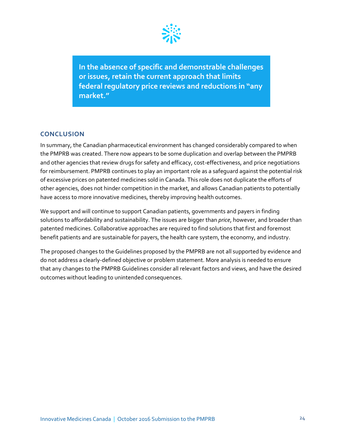

**In the absence of specific and demonstrable challenges or issues, retain the current approach that limits federal regulatory price reviews and reductions in "any market."**

#### <span id="page-28-0"></span>**CONCLUSION**

In summary, the Canadian pharmaceutical environment has changed considerably compared to when the PMPRB was created. There now appears to be some duplication and overlap between the PMPRB and other agencies that review drugs for safety and efficacy, cost-effectiveness, and price negotiations for reimbursement. PMPRB continues to play an important role as a safeguard against the potential risk of excessive prices on patented medicines sold in Canada. This role does not duplicate the efforts of other agencies, does not hinder competition in the market, and allows Canadian patients to potentially have access to more innovative medicines, thereby improving health outcomes.

We support and will continue to support Canadian patients, governments and payers in finding solutions to affordability and sustainability. The issues are bigger than *price*, however, and broader than patented medicines. Collaborative approaches are required to find solutions that first and foremost benefit patients and are sustainable for payers, the health care system, the economy, and industry.

The proposed changes to the Guidelines proposed by the PMPRB are not all supported by evidence and do not address a clearly-defined objective or problem statement. More analysis is needed to ensure that any changes to the PMPRB Guidelines consider all relevant factors and views, and have the desired outcomes without leading to unintended consequences.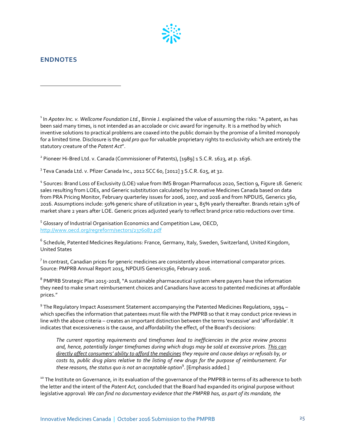

### <span id="page-29-0"></span>**ENDNOTES**

 $\overline{a}$ 

<sup>1</sup> In *Apotex Inc. v. Wellcome Foundation Ltd.*, Binnie J. explained the value of assuming the risks: "A patent, as has been said many times, is not intended as an accolade or civic award for ingenuity. It is a method by which inventive solutions to practical problems are coaxed into the public domain by the promise of a limited monopoly for a limited time. Disclosure is the *quid pro quo* for valuable proprietary rights to exclusivity which are entirely the statutory creature of the *Patent Act*".

<sup>2</sup> Pioneer Hi-Bred Ltd. v. Canada (Commissioner of Patents), [1989] 1 S.C.R. 1623, at p. 1636.

 $^3$ Teva Canada Ltd. v. Pfizer Canada Inc., 2012 SCC 60, [2012] 3 S.C.R. 625, at 32.

<sup>4</sup> Sources: Brand Loss of Exclusivity (LOE) value from IMS Brogan Pharmafocus 2020, Section 9, Figure 18. Generic sales resulting from LOEs, and Generic substitution calculated by Innovative Medicines Canada based on data from PRA Pricing Monitor, February quarterley issues for 2006, 2007, and 2016 and from NPDUIS, Generics 360, 2016. Assumptions include: 50% generic share of utilization in year 1, 85% yearly thereafter. Brands retain 15% of market share 2 years after LOE. Generic prices adjusted yearly to reflect brand price ratio reductions over time.

<sup>5</sup> Glossary of Industrial Organisation Economics and Competition Law, OECD, <http://www.oecd.org/regreform/sectors/2376087.pdf>

<sup>6</sup> Schedule, Patented Medicines Regulations: France, Germany, Italy, Sweden, Switzerland, United Kingdom, United States

 $^7$  In contrast, Canadian prices for generic medicines are consistently above international comparator prices. Source: PMPRB Annual Report 2015, NPDUIS Generics360, February 2016.

<sup>8</sup> PMPRB Strategic Plan 2015-2018, "A sustainable pharmaceutical system where payers have the information they need to make smart reimbursement choices and Canadians have access to patented medicines at affordable prices."

 $9$  The Regulatory Impact Assessment Statement accompanying the Patented Medicines Regulations, 1994 – which specifies the information that patentees must file with the PMPRB so that it may conduct price reviews in line with the above criteria – creates an important distinction between the terms 'excessive' and 'affordable'. It indicates that excessiveness is the cause, and affordability the effect, of the Board's decisions:

*The current reporting requirements and timeframes lead to inefficiencies in the price review process and, hence, potentially longer timeframes during which drugs may be sold at excessive prices. This can directly affect consumers' ability to afford the medicines they require and cause delays or refusals by, or costs to, public drug plans relative to the listing of new drugs for the purpose of reimbursement. For these reasons, the status quo is not an acceptable option*<sup>9</sup> . [Emphasis added.]

<sup>10</sup> The Institute on Governance, in its evaluation of the governance of the PMPRB in terms of its adherence to both the letter and the intent of the *Patent Act*, concluded that the Board had expanded its original purpose without legislative approval: *We can find no documentary evidence that the PMPRB has, as part of its mandate, the*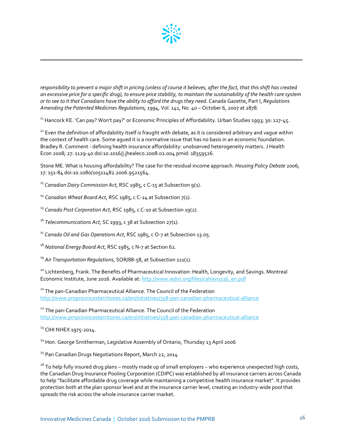

*responsibility to prevent a major shift in pricing (unless of course it believes, after the fact, that this shift has created an excessive price for a specific drug), to ensure price stability, to maintain the sustainability of the health care system or to see to it that Canadians have the ability to afford the drugs they need*. Canada Gazette, Part I, *Regulations Amending the Patented Medicines Regulations, 1994*, Vol. 141, No. 40 – October 6, 2007 at 2878.

<span id="page-30-0"></span><sup>11</sup> Hancock KE. 'Can pay? Won't pay?' or Economic Principles of Affordability. Urban Studies 1993; 30: 127-45.

<sup>12</sup> Even the definition of affordability itself is fraught with debate, as it is considered arbitrary and vague within the context of health care. Some agued it is a normative issue that has no basis in an economic foundation. Bradley R. Comment - defining health insurance affordability: unobserved heterogeneity matters. J Health Econ 2008; 27: 1129-40 doi[:10.1016/j.jhealeco.2008.02.004](http://dx.doi.org/10.1016/j.jhealeco.2008.02.004) pmid: [18359526.](http://www.ncbi.nlm.nih.gov/sites/entrez?cmd=Retrieve&db=PubMed&list_uids=18359526&dopt=Abstract)

Stone ME. What is housing affordability? The case for the residual income approach. *Housing Policy Debate* 2006; 17: 151-84 doi[:10.1080/10511482.2006.9521564.](http://dx.doi.org/10.1080/10511482.2006.9521564)

<sup>13</sup> *Canadian Dairy Commission Act*, RSC 1985, c C-15 at Subsection 9(1).

<sup>14</sup> *Canadian Wheat Board Act*, RSC 1985, c C-24 at Subsection 7(1).

<sup>15</sup> *Canada Post Corporation Act*, RSC 1985, c C-10 at Subsection 19(2).

<sup>16</sup> *Telecommunications Act*, SC 1993, c 38 at Subsection 27(1).

<sup>17</sup> *Canada Oil and Gas Operations Act*, RSC 1985, c O-7 at Subsection 13.05.

<sup>18</sup> *National Energy Board Act*, RSC 1985, c N-7 at Section 62.

<sup>19</sup> *Air Transportation Regulations*, SOR/88-58, at Subsection 111(1).

<sup>20</sup> Lichtenberg, Frank. The Benefits of Pharmaceutical Innovation: Health, Longevity, and Savings. Montreal Economic Institute, June 2016. Available at: http://www.iedm.org/files/cahiero216\_en.pdf

<sup>21</sup> The pan-Canadian Pharmaceutical Alliance. The Council of the Federation <http://www.pmprovincesterritoires.ca/en/initiatives/358-pan-canadian-pharmaceutical-alliance>

<sup>22</sup> The pan-Canadian Pharmaceutical Alliance. The Council of the Federation <http://www.pmprovincesterritoires.ca/en/initiatives/358-pan-canadian-pharmaceutical-alliance>

<sup>23</sup> CIHI NHEX 1975-2014.

 $\overline{\phantom{a}}$ 

<sup>24</sup> Hon. George Smitherman, Legislative Assembly of Ontario, Thursday 13 April 2006

<sup>25</sup> Pan Canadian Drugs Negotiations Report, March 22, 2014

<sup>26</sup> To help fully insured drug plans – mostly made up of small employers – who experience unexpected high costs, the Canadian Drug Insurance Pooling Corporation (CDIPC) was established by all insurance carriers across Canada to help "facilitate affordable drug coverage while maintaining a competitive health insurance market". It provides protection both at the plan sponsor level and at the insurance carrier level, creating an industry-wide pool that spreads the risk across the whole insurance carrier market.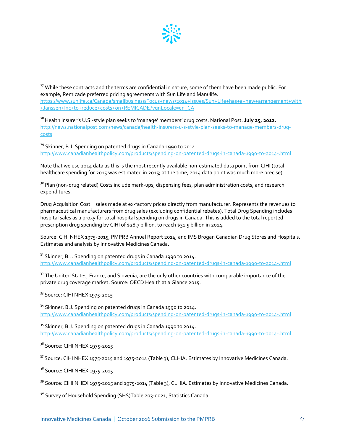

<sup>27</sup> While these contracts and the terms are confidential in nature, some of them have been made public. For example, Remicade preferred pricing agreements with Sun Life and Manulife. [https://www.sunlife.ca/Canada/smallbusiness/Focus+news/2014+issues/Sun+Life+has+a+new+arrangement+with](https://www.sunlife.ca/Canada/smallbusiness/Focus+news/2014+issues/Sun+Life+has+a+new+arrangement+with+Janssen+Inc+to+reduce+costs+on+REMICADE?vgnLocale=en_CA) [+Janssen+Inc+to+reduce+costs+on+REMICADE?vgnLocale=en\\_CA](https://www.sunlife.ca/Canada/smallbusiness/Focus+news/2014+issues/Sun+Life+has+a+new+arrangement+with+Janssen+Inc+to+reduce+costs+on+REMICADE?vgnLocale=en_CA)

**<sup>28</sup>**Health insurer's U.S.-style plan seeks to 'manage' members' drug costs. National Post. **July 25, 2012.**  [http://news.nationalpost.com/news/canada/health-insurers-u-s-style-plan-seeks-to-manage-members-drug](http://news.nationalpost.com/news/canada/health-insurers-u-s-style-plan-seeks-to-manage-members-drug-costs)[costs](http://news.nationalpost.com/news/canada/health-insurers-u-s-style-plan-seeks-to-manage-members-drug-costs)

 $29$  Skinner, B.J. Spending on patented drugs in Canada 1990 to 2014. <http://www.canadianhealthpolicy.com/products/spending-on-patented-drugs-in-canada-1990-to-2014-.html>

<span id="page-31-0"></span>Note that we use 2014 data as this is the most recently available non-estimated data point from CIHI (total healthcare spending for 2015 was estimated in 2015; at the time, 2014 data point was much more precise).

<span id="page-31-2"></span><span id="page-31-1"></span><sup>30</sup> Plan (non-drug related) Costs include mark-ups, dispensing fees, plan administration costs, and research expenditures.

Drug Acquisition Cost = sales made at ex-factory prices directly from manufacturer. Represents the revenues to pharmaceutical manufacturers from drug sales (excluding confidential rebates). Total Drug Spending includes hospital sales as a proxy for total hospital spending on drugs in Canada. This is added to the total reported prescription drug spending by CIHI of \$28.7 billion, to reach \$31.5 billion in 2014.

Source: CIHI NHEX 1975-2015, PMPRB Annual Report 2014, and IMS Brogan Canadian Drug Stores and Hospitals. Estimates and analysis by Innovative Medicines Canada.

 $31$  Skinner, B.J. Spending on patented drugs in Canada 1990 to 2014. <http://www.canadianhealthpolicy.com/products/spending-on-patented-drugs-in-canada-1990-to-2014-.html>

 $32$  The United States, France, and Slovenia, are the only other countries with comparable importance of the private drug coverage market. Source: OECD Health at a Glance 2015.

33 Source: CIHI NHEX 1975-2015

 $\overline{\phantom{a}}$ 

<sup>34</sup> Skinner, B.J. Spending on patented drugs in Canada 1990 to 2014. <http://www.canadianhealthpolicy.com/products/spending-on-patented-drugs-in-canada-1990-to-2014-.html>

<sup>35</sup> Skinner, B.J. Spending on patented drugs in Canada 1990 to 2014. <http://www.canadianhealthpolicy.com/products/spending-on-patented-drugs-in-canada-1990-to-2014-.html>

<sup>36</sup> Source: CIHI NHEX 1975-2015

<sup>37</sup> Source: CIHI NHEX 1975-2015 and 1975-2014 (Table 3), CLHIA. Estimates by Innovative Medicines Canada.

38 Source: CIHI NHEX 1975-2015

<sup>39</sup> Source: CIHI NHEX 1975-2015 and 1975-2014 (Table 3), CLHIA. Estimates by Innovative Medicines Canada.

<sup>40</sup> Survey of Household Spending (SHS)Table 203-0021, Statistics Canada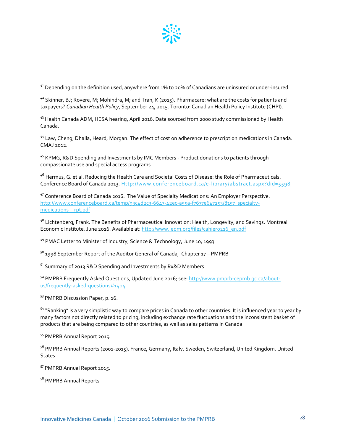

 $41$  Depending on the definition used, anywhere from 1% to 20% of Canadians are uninsured or under-insured

 $42$  Skinner, BJ; Rovere, M; Mohindra, M; and Tran, K (2015). Pharmacare: what are the costs for patients and taxpayers? *Canadian Health Policy*, September 24, 2015. Toronto: Canadian Health Policy Institute (CHPI).

<sup>43</sup> Health Canada ADM, HESA hearing, April 2016. Data sourced from 2000 study commissioned by Health Canada.

<sup>44</sup> Law, Cheng, Dhalla, Heard, Morgan. The effect of cost on adherence to prescription medications in Canada. CMAJ 2012.

<sup>45</sup> KPMG, R&D Spending and Investments by IMC Members - Product donations to patients through compassionate use and special access programs

<sup>46</sup> Hermus, G. et al. Reducing the Health Care and Societal Costs of Disease: the Role of Pharmaceuticals. Conference Board of Canada 2013. [Http://www.conferenceboard.ca/e-library/abstract.aspx?did=5598](http://www.conferenceboard.ca/e-library/abstract.aspx?did=5598)

<sup>47</sup> Conference Board of Canada 2016. The Value of Specialty Medications: An Employer Perspective. [http://www.conferenceboard.ca/temp/93c4d2c3-6647-42ec-a55a-f7677e647253/8157\\_specialty](http://www.conferenceboard.ca/temp/93c4d2c3-6647-42ec-a55a-f7677e647253/8157_specialty-medications__rpt.pdf)[medications\\_\\_rpt.pdf](http://www.conferenceboard.ca/temp/93c4d2c3-6647-42ec-a55a-f7677e647253/8157_specialty-medications__rpt.pdf)

<span id="page-32-0"></span><sup>48</sup> Lichtenberg, Frank. The Benefits of Pharmaceutical Innovation: Health, Longevity, and Savings. Montreal Economic Institute, June 2016. Available at[: http://www.iedm.org/files/cahier0216\\_en.pdf](http://www.iedm.org/files/cahier0216_en.pdf)

<sup>49</sup> PMAC Letter to Minister of Industry, Science & Technology, June 10, 1993

<span id="page-32-1"></span> $50$  1998 September Report of the Auditor General of Canada, Chapter 17 – PMPRB

<span id="page-32-2"></span><sup>51</sup> Summary of 2013 R&D Spending and Investments by Rx&D Members

<sup>52</sup> PMPRB Frequently Asked Questions, Updated June 2016; see[: http://www.pmprb-cepmb.gc.ca/about](http://www.pmprb-cepmb.gc.ca/about-us/frequently-asked-questions#1404)[us/frequently-asked-questions#1404](http://www.pmprb-cepmb.gc.ca/about-us/frequently-asked-questions#1404) 

<sup>53</sup> PMPRB Discussion Paper, p. 16.

 $\overline{\phantom{a}}$ 

<sup>54</sup> "Ranking" is a very simplistic way to compare prices in Canada to other countries. It is influenced year to year by many factors not directly related to pricing, including exchange rate fluctuations and the inconsistent basket of products that are being compared to other countries, as well as sales patterns in Canada.

<sup>55</sup> PMPRB Annual Report 2015.

<sup>56</sup> PMPRB Annual Reports (2001-2015). France, Germany, Italy, Sweden, Switzerland, United Kingdom, United States.

<sup>57</sup> PMPRB Annual Report 2015.

58 PMPRB Annual Reports